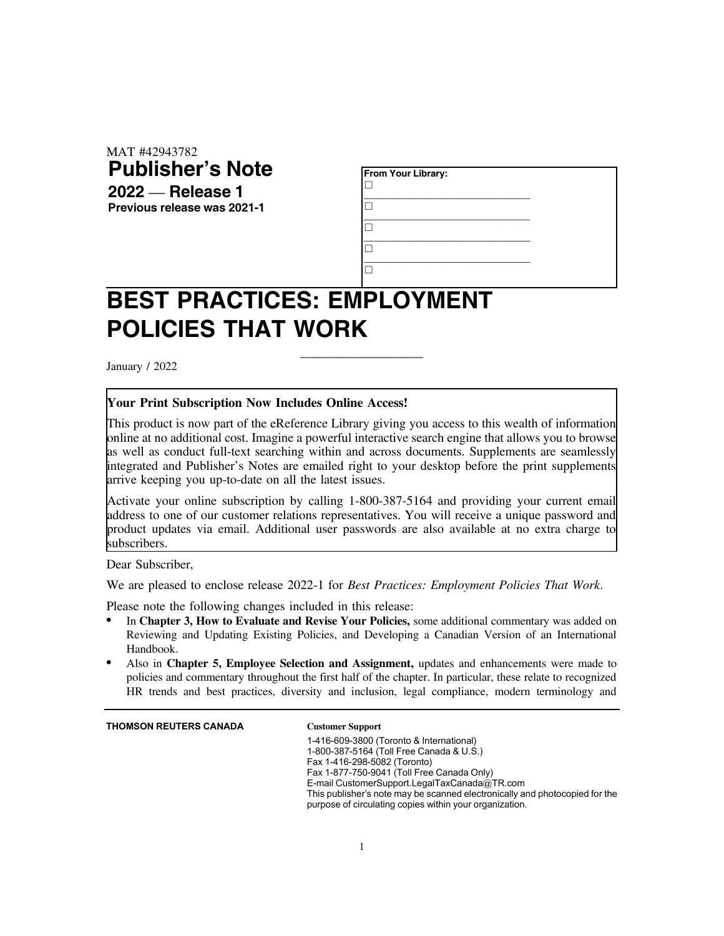MAT #42943782 **Publisher's Note 2022** — **Release 1**

**Previous release was 2021-1**

| From Your Library: |  |
|--------------------|--|
|                    |  |
|                    |  |
|                    |  |
|                    |  |

## **BEST PRACTICES: EMPLOYMENT POLICIES THAT WORK**

January / 2022

## **Your Print Subscription Now Includes Online Access!**

This product is now part of the eReference Library giving you access to this wealth of information online at no additional cost. Imagine a powerful interactive search engine that allows you to browse as well as conduct full-text searching within and across documents. Supplements are seamlessly integrated and Publisher's Notes are emailed right to your desktop before the print supplements arrive keeping you up-to-date on all the latest issues.

\_\_\_\_\_\_\_\_\_\_\_\_\_\_\_\_\_\_\_

Activate your online subscription by calling 1-800-387-5164 and providing your current email address to one of our customer relations representatives. You will receive a unique password and product updates via email. Additional user passwords are also available at no extra charge to subscribers.

Dear Subscriber,

We are pleased to enclose release 2022-1 for *Best Practices: Employment Policies That Work*.

Please note the following changes included in this release:

- . In **Chapter 3, How to Evaluate and Revise Your Policies,** some additional commentary was added on Reviewing and Updating Existing Policies, and Developing a Canadian Version of an International Handbook.
- . Also in **Chapter 5, Employee Selection and Assignment,** updates and enhancements were made to policies and commentary throughout the first half of the chapter. In particular, these relate to recognized HR trends and best practices, diversity and inclusion, legal compliance, modern terminology and

**THOMSON REUTERS CANADA Customer Support**

1-416-609-3800 (Toronto & International) 1-800-387-5164 (Toll Free Canada & U.S.) Fax 1-416-298-5082 (Toronto) Fax 1-877-750-9041 (Toll Free Canada Only) E-mail CustomerSupport.LegalTaxCanada@TR.com This publisher's note may be scanned electronically and photocopied for the purpose of circulating copies within your organization.